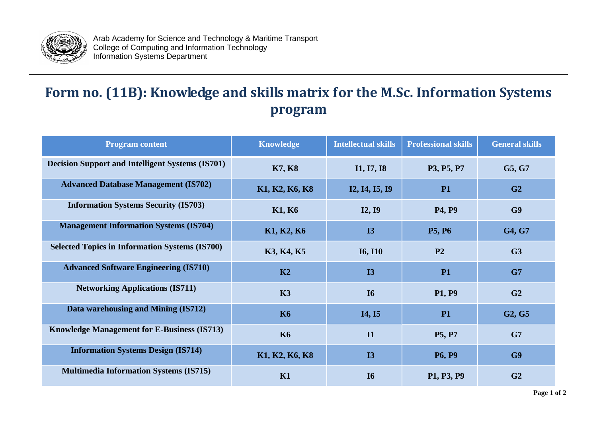

Arab Academy for Science and Technology & Maritime Transport College of Computing and Information Technology Information Systems Department

## **Form no. (11B): Knowledge and skills matrix for the M.Sc. Information Systems program**

| <b>Program content</b>                                  | <b>Knowledge</b> | <b>Intellectual skills</b> | <b>Professional skills</b> | <b>General skills</b>           |
|---------------------------------------------------------|------------------|----------------------------|----------------------------|---------------------------------|
| <b>Decision Support and Intelligent Systems (IS701)</b> | <b>K7, K8</b>    | I1, I7, I8                 | P3, P5, P7                 | G5, G7                          |
| <b>Advanced Database Management (IS702)</b>             | K1, K2, K6, K8   | I2, I4, I5, I9             | <b>P1</b>                  | G2                              |
| <b>Information Systems Security (IS703)</b>             | K1, K6           | I2, I9                     | P4, P9                     | G9                              |
| <b>Management Information Systems (IS704)</b>           | K1, K2, K6       | <b>I3</b>                  | <b>P5, P6</b>              | G4, G7                          |
| <b>Selected Topics in Information Systems (IS700)</b>   | K3, K4, K5       | <b>I6, I10</b>             | P <sub>2</sub>             | G <sub>3</sub>                  |
| <b>Advanced Software Engineering (IS710)</b>            | K2               | <b>I3</b>                  | <b>P1</b>                  | G7                              |
| <b>Networking Applications (IS711)</b>                  | K3               | <b>I6</b>                  | <b>P1, P9</b>              | G <sub>2</sub>                  |
| Data warehousing and Mining (IS712)                     | <b>K6</b>        | <b>I4, I5</b>              | <b>P1</b>                  | G <sub>2</sub> , G <sub>5</sub> |
| <b>Knowledge Management for E-Business (IS713)</b>      | <b>K6</b>        | $\mathbf{I}$               | <b>P5, P7</b>              | G7                              |
| <b>Information Systems Design (IS714)</b>               | K1, K2, K6, K8   | <b>I3</b>                  | <b>P6, P9</b>              | G9                              |
| <b>Multimedia Information Systems (IS715)</b>           | K1               | <b>I6</b>                  | P1, P3, P9                 | G <sub>2</sub>                  |